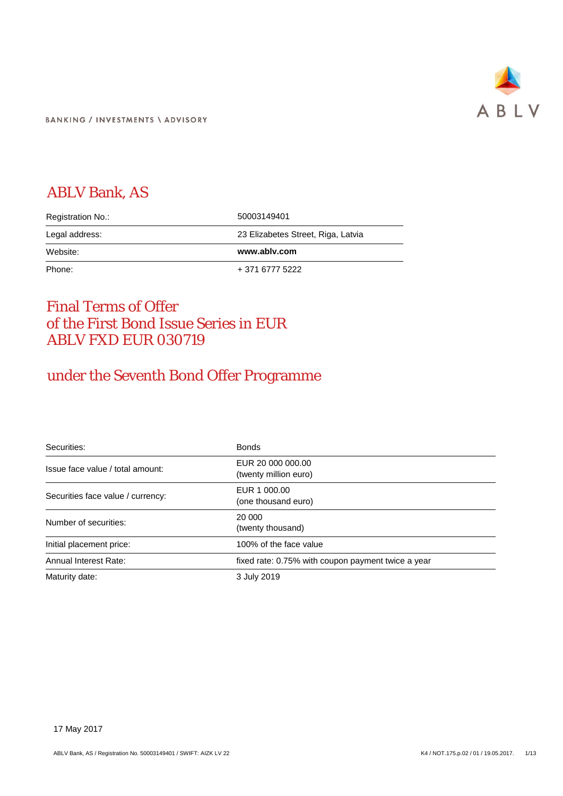

**BANKING / INVESTMENTS \ ADVISORY** 

# ABLV Bank, AS

| Registration No.: | 50003149401                        |
|-------------------|------------------------------------|
| Legal address:    | 23 Elizabetes Street, Riga, Latvia |
| Website:          | www.ablv.com                       |
|                   |                                    |

## Final Terms of Offer of the First Bond Issue Series in EUR ABLV FXD EUR 030719

# under the Seventh Bond Offer Programme

| Securities:                       | <b>Bonds</b>                                       |
|-----------------------------------|----------------------------------------------------|
| Issue face value / total amount:  | EUR 20 000 000.00<br>(twenty million euro)         |
| Securities face value / currency: | EUR 1 000,00<br>(one thousand euro)                |
| Number of securities:             | 20 000<br>(twenty thousand)                        |
| Initial placement price:          | 100% of the face value                             |
| Annual Interest Rate:             | fixed rate: 0.75% with coupon payment twice a year |
| Maturity date:                    | 3 July 2019                                        |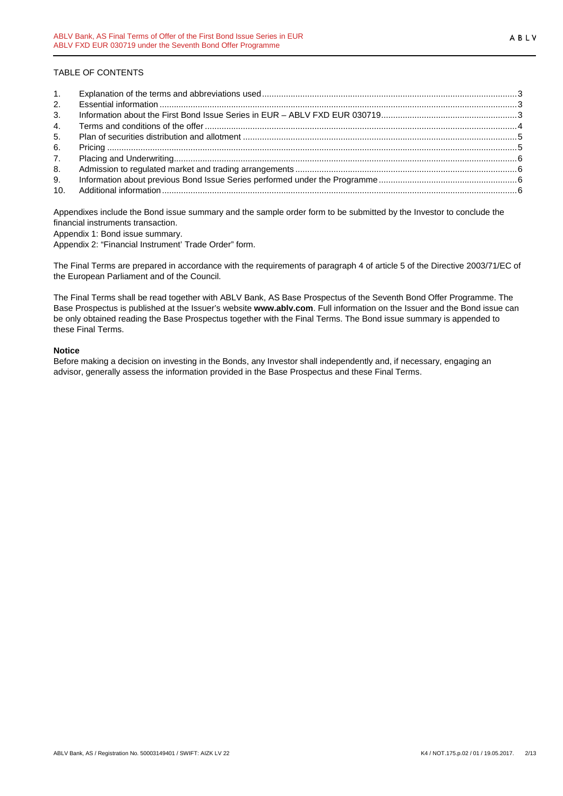#### TABLE OF CONTENTS

| 2.             |  |
|----------------|--|
| 3.             |  |
| 4.             |  |
| 5.             |  |
| 6.             |  |
| 7 <sub>1</sub> |  |
| 8.             |  |
| 9.             |  |
| 10.            |  |

Appendixes include the Bond issue summary and the sample order form to be submitted by the Investor to conclude the financial instruments transaction.

Appendix 1: Bond issue summary.

Appendix 2: "Financial Instrument' Trade Order" form.

The Final Terms are prepared in accordance with the requirements of paragraph 4 of article 5 of the Directive 2003/71/EC of the European Parliament and of the Council.

The Final Terms shall be read together with ABLV Bank, AS Base Prospectus of the Seventh Bond Offer Programme. The Base Prospectus is published at the Issuer's website **www.ablv.com**. Full information on the Issuer and the Bond issue can be only obtained reading the Base Prospectus together with the Final Terms. The Bond issue summary is appended to these Final Terms.

#### **Notice**

Before making a decision on investing in the Bonds, any Investor shall independently and, if necessary, engaging an advisor, generally assess the information provided in the Base Prospectus and these Final Terms.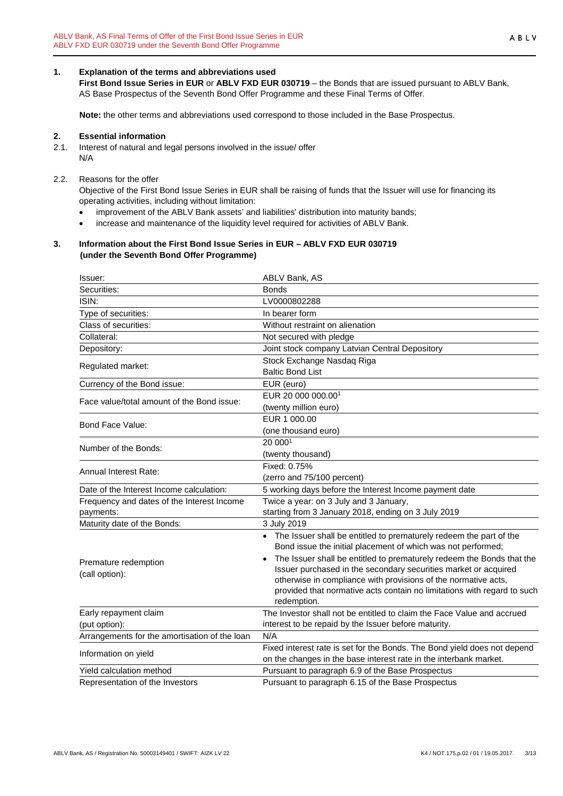<span id="page-2-0"></span>**1. Explanation of the terms and abbreviations used First Bond Issue Series in EUR** or **ABLV FXD EUR 030719** – the Bonds that are issued pursuant to ABLV Bank, AS Base Prospectus of the Seventh Bond Offer Programme and these Final Terms of Offer.

**Note:** the other terms and abbreviations used correspond to those included in the Base Prospectus.

#### <span id="page-2-1"></span>**2. Essential information**

- 2.1. Interest of natural and legal persons involved in the issue/ offer N/A
- 2.2. Reasons for the offer

Objective of the First Bond Issue Series in EUR shall be raising of funds that the Issuer will use for financing its operating activities, including without limitation:

- improvement of the ABLV Bank assets' and liabilities' distribution into maturity bands;
- increase and maintenance of the liquidity level required for activities of ABLV Bank.

#### <span id="page-2-2"></span>**3. Information about the First Bond Issue Series in EUR – ABLV FXD EUR 030719 (under the Seventh Bond Offer Programme)**

| Issuer:                                                 | ABLV Bank, AS                                                                                                                                                                                                                                                                                                                                                                                                                                             |
|---------------------------------------------------------|-----------------------------------------------------------------------------------------------------------------------------------------------------------------------------------------------------------------------------------------------------------------------------------------------------------------------------------------------------------------------------------------------------------------------------------------------------------|
| Securities:                                             | <b>Bonds</b>                                                                                                                                                                                                                                                                                                                                                                                                                                              |
| ISIN:                                                   | LV0000802288                                                                                                                                                                                                                                                                                                                                                                                                                                              |
| Type of securities:                                     | In bearer form                                                                                                                                                                                                                                                                                                                                                                                                                                            |
| Class of securities:                                    | Without restraint on alienation                                                                                                                                                                                                                                                                                                                                                                                                                           |
| Collateral:                                             | Not secured with pledge                                                                                                                                                                                                                                                                                                                                                                                                                                   |
| Depository:                                             | Joint stock company Latvian Central Depository                                                                                                                                                                                                                                                                                                                                                                                                            |
| Regulated market:                                       | Stock Exchange Nasdaq Riga<br><b>Baltic Bond List</b>                                                                                                                                                                                                                                                                                                                                                                                                     |
| Currency of the Bond issue:                             | EUR (euro)                                                                                                                                                                                                                                                                                                                                                                                                                                                |
| Face value/total amount of the Bond issue:              | EUR 20 000 000.00 <sup>1</sup><br>(twenty million euro)                                                                                                                                                                                                                                                                                                                                                                                                   |
| Bond Face Value:                                        | EUR 1 000.00<br>(one thousand euro)                                                                                                                                                                                                                                                                                                                                                                                                                       |
| Number of the Bonds:                                    | 20 0001<br>(twenty thousand)                                                                                                                                                                                                                                                                                                                                                                                                                              |
| Annual Interest Rate:                                   | Fixed: 0.75%<br>(zerro and 75/100 percent)                                                                                                                                                                                                                                                                                                                                                                                                                |
| Date of the Interest Income calculation:                | 5 working days before the Interest Income payment date                                                                                                                                                                                                                                                                                                                                                                                                    |
| Frequency and dates of the Interest Income<br>payments: | Twice a year: on 3 July and 3 January,<br>starting from 3 January 2018, ending on 3 July 2019                                                                                                                                                                                                                                                                                                                                                             |
| Maturity date of the Bonds:                             | 3 July 2019                                                                                                                                                                                                                                                                                                                                                                                                                                               |
| Premature redemption<br>(call option):                  | • The Issuer shall be entitled to prematurely redeem the part of the<br>Bond issue the initial placement of which was not performed;<br>The Issuer shall be entitled to prematurely redeem the Bonds that the<br>$\bullet$<br>Issuer purchased in the secondary securities market or acquired<br>otherwise in compliance with provisions of the normative acts,<br>provided that normative acts contain no limitations with regard to such<br>redemption. |
| Early repayment claim                                   | The Investor shall not be entitled to claim the Face Value and accrued                                                                                                                                                                                                                                                                                                                                                                                    |
| (put option):                                           | interest to be repaid by the Issuer before maturity.                                                                                                                                                                                                                                                                                                                                                                                                      |
| Arrangements for the amortisation of the loan           | N/A                                                                                                                                                                                                                                                                                                                                                                                                                                                       |
| Information on yield                                    | Fixed interest rate is set for the Bonds. The Bond yield does not depend<br>on the changes in the base interest rate in the interbank market.                                                                                                                                                                                                                                                                                                             |
| Yield calculation method                                | Pursuant to paragraph 6.9 of the Base Prospectus                                                                                                                                                                                                                                                                                                                                                                                                          |
| Representation of the Investors                         | Pursuant to paragraph 6.15 of the Base Prospectus                                                                                                                                                                                                                                                                                                                                                                                                         |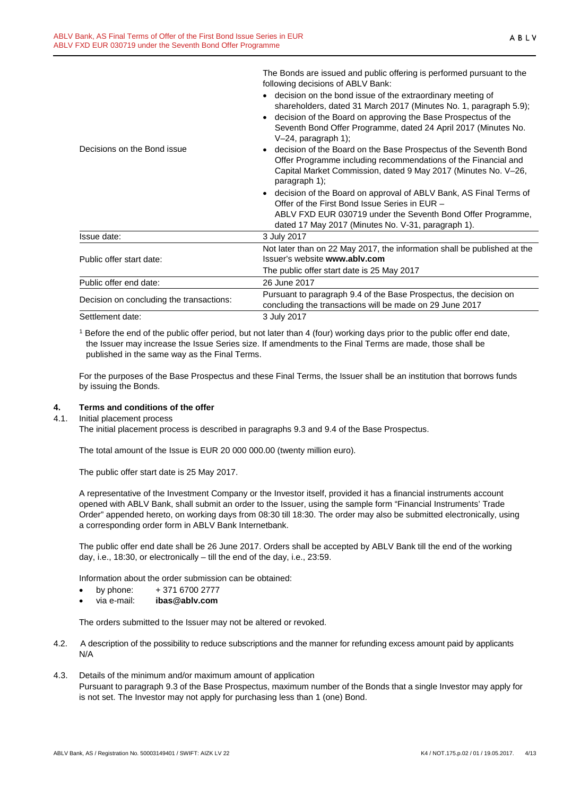|                                          | following decisions of ABLV Bank:                                                                                                                                                                                                       |
|------------------------------------------|-----------------------------------------------------------------------------------------------------------------------------------------------------------------------------------------------------------------------------------------|
|                                          | decision on the bond issue of the extraordinary meeting of                                                                                                                                                                              |
|                                          | shareholders, dated 31 March 2017 (Minutes No. 1, paragraph 5.9);<br>decision of the Board on approving the Base Prospectus of the<br>Seventh Bond Offer Programme, dated 24 April 2017 (Minutes No.<br>$V-24$ , paragraph 1);          |
| Decisions on the Bond issue              | decision of the Board on the Base Prospectus of the Seventh Bond<br>Offer Programme including recommendations of the Financial and<br>Capital Market Commission, dated 9 May 2017 (Minutes No. V-26,<br>paragraph 1);                   |
|                                          | decision of the Board on approval of ABLV Bank, AS Final Terms of<br>Offer of the First Bond Issue Series in EUR -<br>ABLV FXD EUR 030719 under the Seventh Bond Offer Programme,<br>dated 17 May 2017 (Minutes No. V-31, paragraph 1). |
| Issue date:                              | 3 July 2017                                                                                                                                                                                                                             |
| Public offer start date:                 | Not later than on 22 May 2017, the information shall be published at the<br>Issuer's website www.ably.com                                                                                                                               |
|                                          | The public offer start date is 25 May 2017                                                                                                                                                                                              |
| Public offer end date:                   | 26 June 2017                                                                                                                                                                                                                            |
| Decision on concluding the transactions: | Pursuant to paragraph 9.4 of the Base Prospectus, the decision on<br>concluding the transactions will be made on 29 June 2017                                                                                                           |
| Settlement date:                         | 3 July 2017                                                                                                                                                                                                                             |

The Bonds are issued and public offering is performed pursuant to the

<sup>1</sup> Before the end of the public offer period, but not later than 4 (four) working days prior to the public offer end date, the Issuer may increase the Issue Series size. If amendments to the Final Terms are made, those shall be published in the same way as the Final Terms.

For the purposes of the Base Prospectus and these Final Terms, the Issuer shall be an institution that borrows funds by issuing the Bonds.

#### <span id="page-3-0"></span>**4. Terms and conditions of the offer**

4.1. Initial placement process

The initial placement process is described in paragraphs 9.3 and 9.4 of the Base Prospectus.

The total amount of the Issue is EUR 20 000 000.00 (twenty million euro).

The public offer start date is 25 May 2017.

A representative of the Investment Company or the Investor itself, provided it has a financial instruments account opened with ABLV Bank, shall submit an order to the Issuer, using the sample form "Financial Instruments' Trade Order" appended hereto, on working days from 08:30 till 18:30. The order may also be submitted electronically, using a corresponding order form in ABLV Bank Internetbank.

The public offer end date shall be 26 June 2017. Orders shall be accepted by ABLV Bank till the end of the working day, i.e., 18:30, or electronically – till the end of the day, i.e., 23:59.

Information about the order submission can be obtained:

- by phone:  $+37167002777$
- via e-mail: **ibas@ablv.com**

The orders submitted to the Issuer may not be altered or revoked.

- 4.2. A description of the possibility to reduce subscriptions and the manner for refunding excess amount paid by applicants N/A
- 4.3. Details of the minimum and/or maximum amount of application Pursuant to paragraph 9.3 of the Base Prospectus, maximum number of the Bonds that a single Investor may apply for is not set. The Investor may not apply for purchasing less than 1 (one) Bond.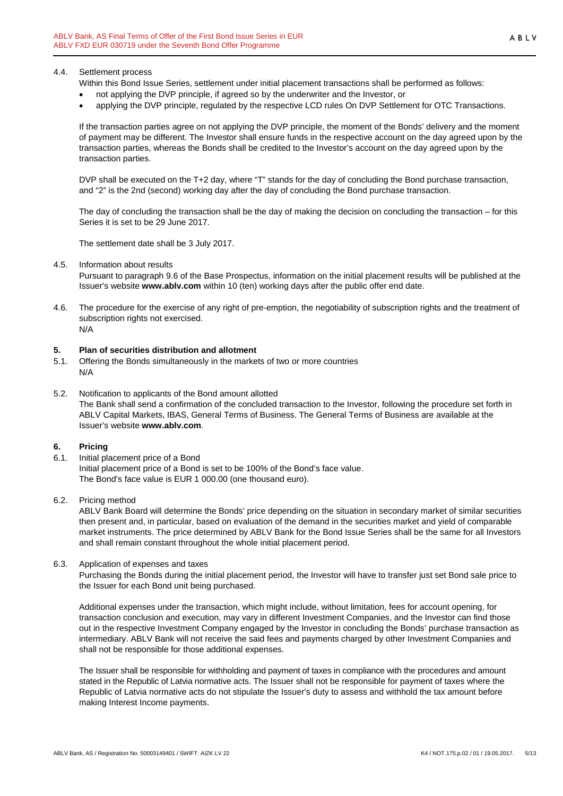Within this Bond Issue Series, settlement under initial placement transactions shall be performed as follows:

- not applying the DVP principle, if agreed so by the underwriter and the Investor, or
- applying the DVP principle, regulated by the respective LCD rules On DVP Settlement for OTC Transactions.

If the transaction parties agree on not applying the DVP principle, the moment of the Bonds' delivery and the moment of payment may be different. The Investor shall ensure funds in the respective account on the day agreed upon by the transaction parties, whereas the Bonds shall be credited to the Investor's account on the day agreed upon by the transaction parties.

DVP shall be executed on the T+2 day, where "T" stands for the day of concluding the Bond purchase transaction, and "2" is the 2nd (second) working day after the day of concluding the Bond purchase transaction.

The day of concluding the transaction shall be the day of making the decision on concluding the transaction – for this Series it is set to be 29 June 2017.

The settlement date shall be 3 July 2017.

4.5. Information about results

Pursuant to paragraph 9.6 of the Base Prospectus, information on the initial placement results will be published at the Issuer's website **www.ablv.com** within 10 (ten) working days after the public offer end date.

4.6. The procedure for the exercise of any right of pre-emption, the negotiability of subscription rights and the treatment of subscription rights not exercised. N/A

#### <span id="page-4-0"></span>**5. Plan of securities distribution and allotment**

- 5.1. Offering the Bonds simultaneously in the markets of two or more countries N/A
- 5.2. Notification to applicants of the Bond amount allotted The Bank shall send a confirmation of the concluded transaction to the Investor, following the procedure set forth in ABLV Capital Markets, IBAS, General Terms of Business. The General Terms of Business are available at the Issuer's website **[www.ablv.com](http://www.ablv.com/)**.

#### <span id="page-4-1"></span>**6. Pricing**

- 6.1. Initial placement price of a Bond Initial placement price of a Bond is set to be 100% of the Bond's face value. The Bond's face value is EUR 1 000.00 (one thousand euro).
- 6.2. Pricing method

ABLV Bank Board will determine the Bonds' price depending on the situation in secondary market of similar securities then present and, in particular, based on evaluation of the demand in the securities market and yield of comparable market instruments. The price determined by ABLV Bank for the Bond Issue Series shall be the same for all Investors and shall remain constant throughout the whole initial placement period.

6.3. Application of expenses and taxes

Purchasing the Bonds during the initial placement period, the Investor will have to transfer just set Bond sale price to the Issuer for each Bond unit being purchased.

Additional expenses under the transaction, which might include, without limitation, fees for account opening, for transaction conclusion and execution, may vary in different Investment Companies, and the Investor can find those out in the respective Investment Company engaged by the Investor in concluding the Bonds' purchase transaction as intermediary. ABLV Bank will not receive the said fees and payments charged by other Investment Companies and shall not be responsible for those additional expenses.

The Issuer shall be responsible for withholding and payment of taxes in compliance with the procedures and amount stated in the Republic of Latvia normative acts. The Issuer shall not be responsible for payment of taxes where the Republic of Latvia normative acts do not stipulate the Issuer's duty to assess and withhold the tax amount before making Interest Income payments.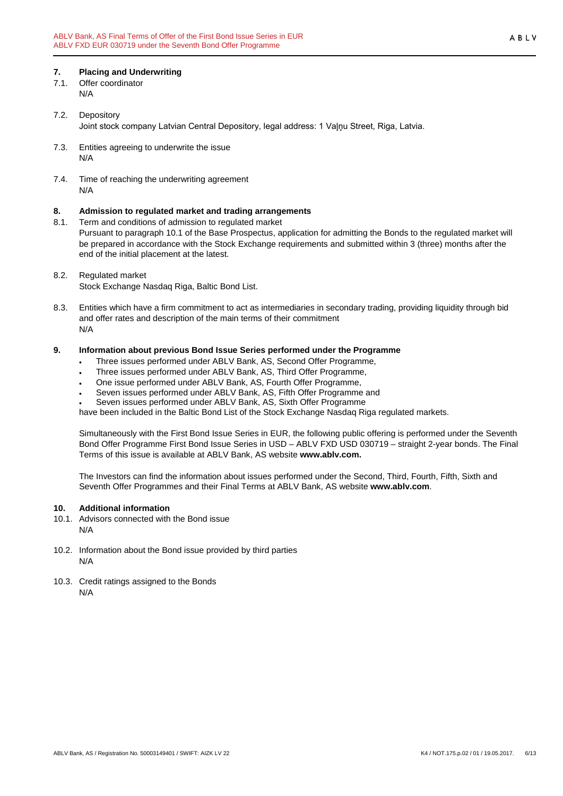### <span id="page-5-0"></span>**7. Placing and Underwriting**

- 7.1. Offer coordinator N/A
- 7.2. Depository Joint stock company Latvian Central Depository, legal address: 1 Vaļņu Street, Riga, Latvia.
- 7.3. Entities agreeing to underwrite the issue N/A
- 7.4. Time of reaching the underwriting agreement N/A

# <span id="page-5-1"></span>**8. Admission to regulated market and trading arrangements**

- Term and conditions of admission to regulated market Pursuant to paragraph 10.1 of the Base Prospectus, application for admitting the Bonds to the regulated market will be prepared in accordance with the Stock Exchange requirements and submitted within 3 (three) months after the end of the initial placement at the latest.
- 8.2. Regulated market Stock Exchange Nasdaq Riga, Baltic Bond List.
- 8.3. Entities which have a firm commitment to act as intermediaries in secondary trading, providing liquidity through bid and offer rates and description of the main terms of their commitment N/A

#### <span id="page-5-2"></span>**9. Information about previous Bond Issue Series performed under the Programme**

- Three issues performed under ABLV Bank, AS, Second Offer Programme,
- Three issues performed under ABLV Bank, AS, Third Offer Programme,
- One issue performed under ABLV Bank, AS, Fourth Offer Programme,
- Seven issues performed under ABLV Bank, AS, Fifth Offer Programme and
- Seven issues performed under ABLV Bank, AS, Sixth Offer Programme

have been included in the Baltic Bond List of the Stock Exchange Nasdaq Riga regulated markets.

Simultaneously with the First Bond Issue Series in EUR, the following public offering is performed under the Seventh Bond Offer Programme First Bond Issue Series in USD – ABLV FXD USD 030719 – straight 2-year bonds. The Final Terms of this issue is available at ABLV Bank, AS website **www.ablv.com.**

The Investors can find the information about issues performed under the Second, Third, Fourth, Fifth, Sixth and Seventh Offer Programmes and their Final Terms at ABLV Bank, AS website **[www.ablv.com](http://www.ablv.com/)**.

#### <span id="page-5-3"></span>**10. Additional information**

- 10.1. Advisors connected with the Bond issue N/A
- 10.2. Information about the Bond issue provided by third parties N/A
- 10.3. Credit ratings assigned to the Bonds N/A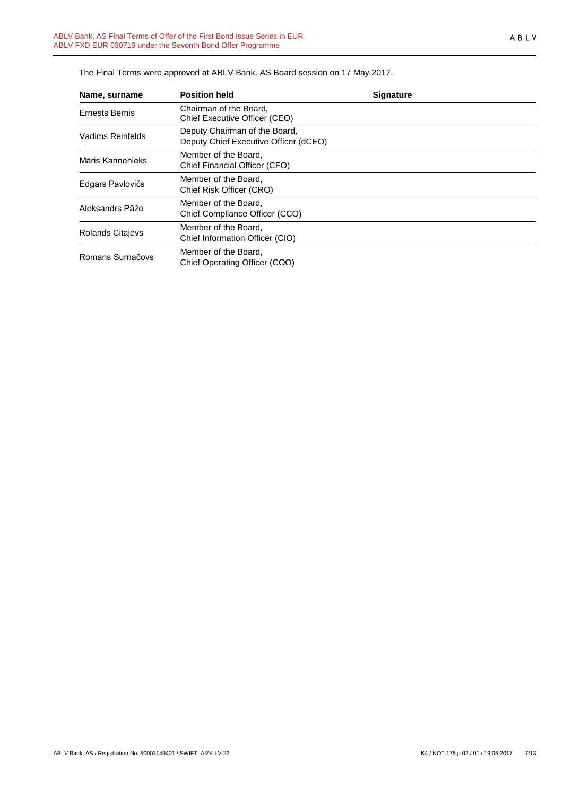| Name, surname           | <b>Position held</b>                                                   | <b>Signature</b> |
|-------------------------|------------------------------------------------------------------------|------------------|
| Ernests Bernis          | Chairman of the Board.<br>Chief Executive Officer (CEO)                |                  |
| Vadims Reinfelds        | Deputy Chairman of the Board,<br>Deputy Chief Executive Officer (dCEO) |                  |
| Māris Kannenieks        | Member of the Board,<br>Chief Financial Officer (CFO)                  |                  |
| Edgars Pavlovičs        | Member of the Board,<br>Chief Risk Officer (CRO)                       |                  |
| Aleksandrs Pāže         | Member of the Board.<br>Chief Compliance Officer (CCO)                 |                  |
| <b>Rolands Citajevs</b> | Member of the Board,<br>Chief Information Officer (CIO)                |                  |
| Romans Surnačovs        | Member of the Board,<br>Chief Operating Officer (COO)                  |                  |

The Final Terms were approved at ABLV Bank, AS Board session on 17 May 2017.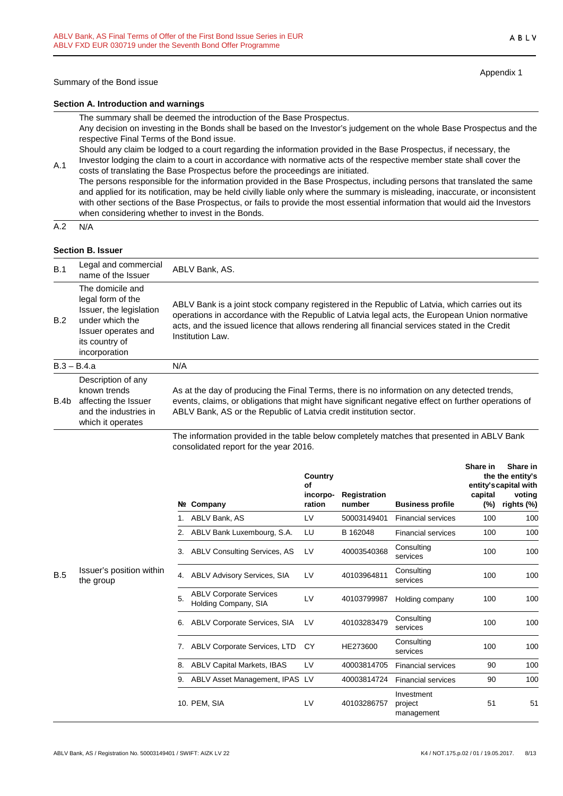Appendix 1

#### **Section A. Introduction and warnings**

The summary shall be deemed the introduction of the Base Prospectus.

Any decision on investing in the Bonds shall be based on the Investor's judgement on the whole Base Prospectus and the respective Final Terms of the Bond issue.

Should any claim be lodged to a court regarding the information provided in the Base Prospectus, if necessary, the Investor lodging the claim to a court in accordance with normative acts of the respective member state shall cover the

A.1 costs of translating the Base Prospectus before the proceedings are initiated. The persons responsible for the information provided in the Base Prospectus, including persons that translated the same and applied for its notification, may be held civilly liable only where the summary is misleading, inaccurate, or inconsistent with other sections of the Base Prospectus, or fails to provide the most essential information that would aid the Investors when considering whether to invest in the Bonds.

 $A.2 N/A$ 

#### **Section B. Issuer**

| B.1  | Legal and commercial<br>name of the Issuer                                                                                                    | ABLV Bank, AS.                                                                                                                                                                                                                                                                                                        |
|------|-----------------------------------------------------------------------------------------------------------------------------------------------|-----------------------------------------------------------------------------------------------------------------------------------------------------------------------------------------------------------------------------------------------------------------------------------------------------------------------|
| B.2  | The domicile and<br>legal form of the<br>Issuer, the legislation<br>under which the<br>Issuer operates and<br>its country of<br>incorporation | ABLV Bank is a joint stock company registered in the Republic of Latvia, which carries out its<br>operations in accordance with the Republic of Latvia legal acts, the European Union normative<br>acts, and the issued licence that allows rendering all financial services stated in the Credit<br>Institution Law. |
|      | $B.3 - B.4.a$                                                                                                                                 | N/A                                                                                                                                                                                                                                                                                                                   |
| B.4b | Description of any<br>known trends<br>affecting the Issuer<br>and the industries in<br>which it operates                                      | As at the day of producing the Final Terms, there is no information on any detected trends,<br>events, claims, or obligations that might have significant negative effect on further operations of<br>ABLV Bank, AS or the Republic of Latvia credit institution sector.                                              |
|      |                                                                                                                                               | The information provided in the table below completely matches that presented in ABLV Bank                                                                                                                                                                                                                            |

The information provided in the table below completely matches that presented in ABLV Bank consolidated report for the year 2016.

|     |                                       |    |                                                        | Country<br>Οf<br>incorpo- | Registration |                                     | Share in<br>capital | Share in<br>the the entity's<br>entity's capital with<br>voting |
|-----|---------------------------------------|----|--------------------------------------------------------|---------------------------|--------------|-------------------------------------|---------------------|-----------------------------------------------------------------|
|     |                                       |    | Nº Company                                             | ration                    | number       | <b>Business profile</b>             | $(\%)$              | rights (%)                                                      |
|     |                                       |    | ABLV Bank, AS                                          | LV                        | 50003149401  | <b>Financial services</b>           | 100                 | 100                                                             |
|     |                                       | 2. | ABLV Bank Luxembourg, S.A.                             | LU                        | B 162048     | <b>Financial services</b>           | 100                 | 100                                                             |
|     |                                       | 3. | <b>ABLV Consulting Services, AS</b>                    | LV                        | 40003540368  | Consulting<br>services              | 100                 | 100                                                             |
| B.5 | Issuer's position within<br>the group | 4. | <b>ABLV Advisory Services, SIA</b>                     | LV                        | 40103964811  | Consulting<br>services              | 100                 | 100                                                             |
|     |                                       | 5. | <b>ABLV Corporate Services</b><br>Holding Company, SIA | LV                        | 40103799987  | Holding company                     | 100                 | 100                                                             |
|     |                                       | 6. | <b>ABLV Corporate Services, SIA</b>                    | LV                        | 40103283479  | Consulting<br>services              | 100                 | 100                                                             |
|     |                                       | 7. | <b>ABLV Corporate Services, LTD</b>                    | СY                        | HE273600     | Consulting<br>services              | 100                 | 100                                                             |
|     |                                       | 8. | <b>ABLV Capital Markets, IBAS</b>                      | LV                        | 40003814705  | <b>Financial services</b>           | 90                  | 100                                                             |
|     |                                       | 9. | ABLV Asset Management, IPAS                            | LV                        | 40003814724  | <b>Financial services</b>           | 90                  | 100                                                             |
|     |                                       |    | 10. PEM, SIA                                           | LV                        | 40103286757  | Investment<br>project<br>management | 51                  | 51                                                              |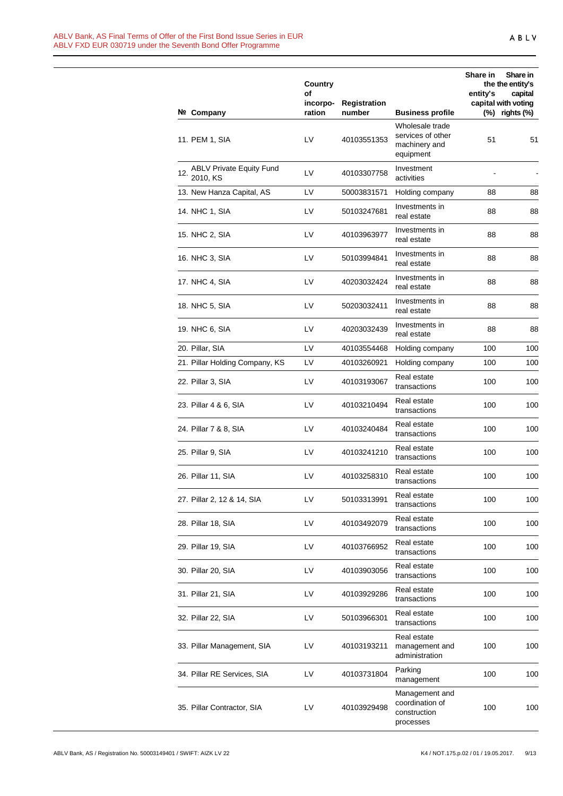|     |                                             | Country<br>οf<br>incorpo- | <b>Registration</b> |                                                                    | Share in<br>entity's | Share in<br>the the entity's<br>capital<br>capital with voting |
|-----|---------------------------------------------|---------------------------|---------------------|--------------------------------------------------------------------|----------------------|----------------------------------------------------------------|
|     | Nº Company                                  | ration                    | number              | <b>Business profile</b>                                            | (%)                  | rights (%)                                                     |
|     | 11. PEM 1, SIA                              | LV                        | 40103551353         | Wholesale trade<br>services of other<br>machinery and<br>equipment | 51                   | 51                                                             |
| 12. | <b>ABLV Private Equity Fund</b><br>2010, KS | LV                        | 40103307758         | Investment<br>activities                                           |                      |                                                                |
|     | 13. New Hanza Capital, AS                   | LV                        | 50003831571         | Holding company                                                    | 88                   | 88                                                             |
|     | 14. NHC 1, SIA                              | LV                        | 50103247681         | Investments in<br>real estate                                      | 88                   | 88                                                             |
|     | 15. NHC 2, SIA                              | LV                        | 40103963977         | Investments in<br>real estate                                      | 88                   | 88                                                             |
|     | 16. NHC 3, SIA                              | LV                        | 50103994841         | Investments in<br>real estate                                      | 88                   | 88                                                             |
|     | 17. NHC 4, SIA                              | LV                        | 40203032424         | Investments in<br>real estate                                      | 88                   | 88                                                             |
|     | 18. NHC 5, SIA                              | LV                        | 50203032411         | Investments in<br>real estate                                      | 88                   | 88                                                             |
|     | 19. NHC 6, SIA                              | LV                        | 40203032439         | Investments in<br>real estate                                      | 88                   | 88                                                             |
|     | 20. Pillar, SIA                             | LV                        | 40103554468         | Holding company                                                    | 100                  | 100                                                            |
|     | 21. Pillar Holding Company, KS              | LV                        | 40103260921         | Holding company                                                    | 100                  | 100                                                            |
|     | 22. Pillar 3, SIA                           | LV                        | 40103193067         | Real estate<br>transactions                                        | 100                  | 100                                                            |
|     | 23. Pillar 4 & 6, SIA                       | LV                        | 40103210494         | Real estate<br>transactions                                        | 100                  | 100                                                            |
|     | 24. Pillar 7 & 8, SIA                       | LV                        | 40103240484         | Real estate<br>transactions                                        | 100                  | 100                                                            |
|     | 25. Pillar 9, SIA                           | LV                        | 40103241210         | Real estate<br>transactions                                        | 100                  | 100                                                            |
|     | 26. Pillar 11, SIA                          | LV                        | 40103258310         | Real estate<br>transactions                                        | 100                  | 100                                                            |
|     | 27. Pillar 2, 12 & 14, SIA                  | LV                        | 50103313991         | Real estate<br>transactions                                        | 100                  | 100                                                            |
|     | 28. Pillar 18, SIA                          | LV                        | 40103492079         | Real estate<br>transactions                                        | 100                  | 100                                                            |
|     | 29. Pillar 19, SIA                          | LV                        | 40103766952         | Real estate<br>transactions                                        | 100                  | 100                                                            |
|     | 30. Pillar 20, SIA                          | LV                        | 40103903056         | Real estate<br>transactions                                        | 100                  | 100                                                            |
|     | 31. Pillar 21, SIA                          | LV                        | 40103929286         | Real estate<br>transactions                                        | 100                  | 100                                                            |
|     | 32. Pillar 22, SIA                          | LV                        | 50103966301         | Real estate<br>transactions                                        | 100                  | 100                                                            |
|     | 33. Pillar Management, SIA                  | LV                        | 40103193211         | Real estate<br>management and<br>administration                    | 100                  | 100                                                            |
|     | 34. Pillar RE Services, SIA                 | LV                        | 40103731804         | Parking<br>management                                              | 100                  | 100                                                            |
|     | 35. Pillar Contractor, SIA                  | LV                        | 40103929498         | Management and<br>coordination of<br>construction<br>processes     | 100                  | 100                                                            |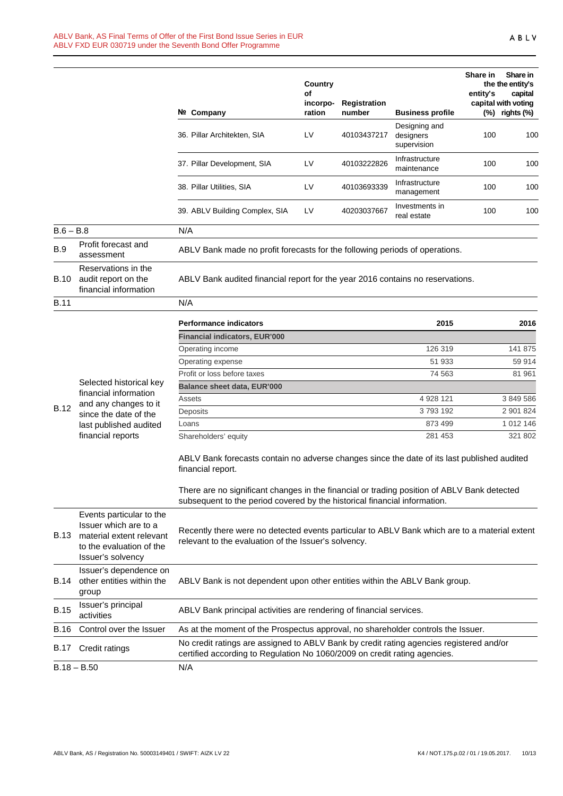|             |                                                                                                                                | Nº Company                                                                                                                                                               | Country<br>of<br>incorpo-<br>ration                                                                                                                                  | Registration<br>number | <b>Business profile</b>                   | Share in<br>entity's | Share in<br>the the entity's<br>capital<br>capital with voting<br>$(\%)$ rights $(\%)$ |
|-------------|--------------------------------------------------------------------------------------------------------------------------------|--------------------------------------------------------------------------------------------------------------------------------------------------------------------------|----------------------------------------------------------------------------------------------------------------------------------------------------------------------|------------------------|-------------------------------------------|----------------------|----------------------------------------------------------------------------------------|
|             |                                                                                                                                | 36. Pillar Architekten, SIA                                                                                                                                              | LV                                                                                                                                                                   | 40103437217            | Designing and<br>designers<br>supervision | 100                  | 100                                                                                    |
|             |                                                                                                                                | 37. Pillar Development, SIA                                                                                                                                              | LV                                                                                                                                                                   | 40103222826            | Infrastructure<br>maintenance             | 100                  | 100                                                                                    |
|             |                                                                                                                                | 38. Pillar Utilities, SIA                                                                                                                                                | LV                                                                                                                                                                   | 40103693339            | Infrastructure<br>management              | 100                  | 100                                                                                    |
|             |                                                                                                                                | 39. ABLV Building Complex, SIA                                                                                                                                           | LV                                                                                                                                                                   | 40203037667            | Investments in<br>real estate             | 100                  | 100                                                                                    |
| $B.6 - B.8$ |                                                                                                                                | N/A                                                                                                                                                                      |                                                                                                                                                                      |                        |                                           |                      |                                                                                        |
| <b>B.9</b>  | Profit forecast and<br>assessment                                                                                              | ABLV Bank made no profit forecasts for the following periods of operations.                                                                                              |                                                                                                                                                                      |                        |                                           |                      |                                                                                        |
| <b>B.10</b> | Reservations in the<br>audit report on the<br>financial information                                                            | ABLV Bank audited financial report for the year 2016 contains no reservations.                                                                                           |                                                                                                                                                                      |                        |                                           |                      |                                                                                        |
| <b>B.11</b> |                                                                                                                                | N/A                                                                                                                                                                      |                                                                                                                                                                      |                        |                                           |                      |                                                                                        |
|             |                                                                                                                                | <b>Performance indicators</b>                                                                                                                                            |                                                                                                                                                                      |                        | 2015                                      |                      | 2016                                                                                   |
|             |                                                                                                                                | <b>Financial indicators, EUR'000</b>                                                                                                                                     |                                                                                                                                                                      |                        |                                           |                      |                                                                                        |
|             |                                                                                                                                | Operating income                                                                                                                                                         |                                                                                                                                                                      |                        | 126 319                                   |                      | 141 875                                                                                |
|             |                                                                                                                                | Operating expense                                                                                                                                                        |                                                                                                                                                                      |                        | 51 933                                    |                      | 59 914                                                                                 |
|             |                                                                                                                                | Profit or loss before taxes                                                                                                                                              |                                                                                                                                                                      |                        | 74 563                                    |                      | 81 961                                                                                 |
|             | Selected historical key                                                                                                        | Balance sheet data, EUR'000                                                                                                                                              |                                                                                                                                                                      |                        |                                           |                      |                                                                                        |
|             | financial information<br>and any changes to it                                                                                 | Assets                                                                                                                                                                   |                                                                                                                                                                      |                        | 4 928 121                                 |                      | 3 849 586                                                                              |
| <b>B.12</b> | since the date of the                                                                                                          | Deposits                                                                                                                                                                 |                                                                                                                                                                      |                        | 3793192                                   |                      | 2 901 824                                                                              |
|             | last published audited                                                                                                         | Loans                                                                                                                                                                    |                                                                                                                                                                      |                        | 873 499                                   |                      | 1 012 146                                                                              |
|             | financial reports                                                                                                              | Shareholders' equity                                                                                                                                                     |                                                                                                                                                                      |                        | 281 453                                   |                      | 321 802                                                                                |
|             |                                                                                                                                | ABLV Bank forecasts contain no adverse changes since the date of its last published audited<br>financial report.                                                         |                                                                                                                                                                      |                        |                                           |                      |                                                                                        |
|             |                                                                                                                                | There are no significant changes in the financial or trading position of ABLV Bank detected<br>subsequent to the period covered by the historical financial information. |                                                                                                                                                                      |                        |                                           |                      |                                                                                        |
| <b>B.13</b> | Events particular to the<br>Issuer which are to a<br>material extent relevant<br>to the evaluation of the<br>Issuer's solvency | Recently there were no detected events particular to ABLV Bank which are to a material extent<br>relevant to the evaluation of the Issuer's solvency.                    |                                                                                                                                                                      |                        |                                           |                      |                                                                                        |
| <b>B.14</b> | Issuer's dependence on<br>other entities within the<br>group                                                                   | ABLV Bank is not dependent upon other entities within the ABLV Bank group.                                                                                               |                                                                                                                                                                      |                        |                                           |                      |                                                                                        |
| <b>B.15</b> | Issuer's principal<br>activities                                                                                               | ABLV Bank principal activities are rendering of financial services.                                                                                                      |                                                                                                                                                                      |                        |                                           |                      |                                                                                        |
| <b>B.16</b> | Control over the Issuer                                                                                                        | As at the moment of the Prospectus approval, no shareholder controls the Issuer.                                                                                         |                                                                                                                                                                      |                        |                                           |                      |                                                                                        |
| B.17        | Credit ratings                                                                                                                 |                                                                                                                                                                          | No credit ratings are assigned to ABLV Bank by credit rating agencies registered and/or<br>certified according to Regulation No 1060/2009 on credit rating agencies. |                        |                                           |                      |                                                                                        |
|             | $B.18 - B.50$                                                                                                                  | N/A                                                                                                                                                                      |                                                                                                                                                                      |                        |                                           |                      |                                                                                        |
|             |                                                                                                                                |                                                                                                                                                                          |                                                                                                                                                                      |                        |                                           |                      |                                                                                        |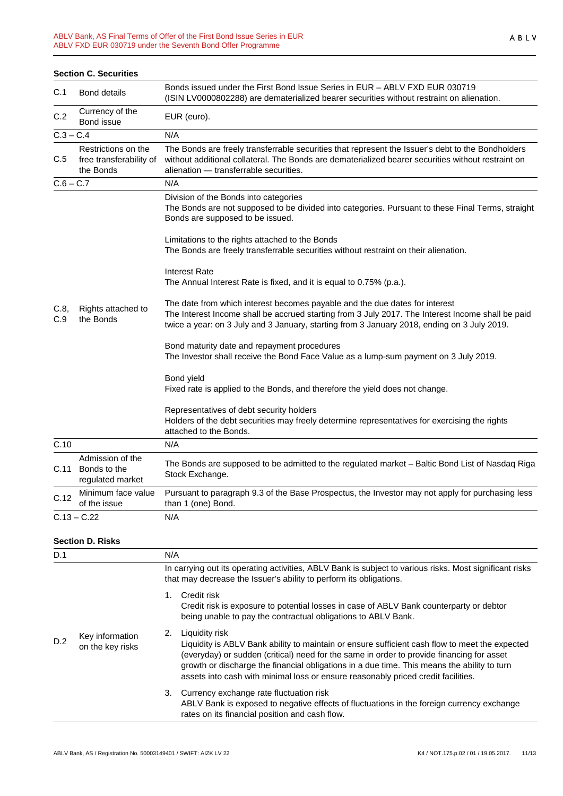|                                                                    | <b>Section C. Securities</b>                         |                                                                                                                                                                                                                                                                                 |
|--------------------------------------------------------------------|------------------------------------------------------|---------------------------------------------------------------------------------------------------------------------------------------------------------------------------------------------------------------------------------------------------------------------------------|
| C.1                                                                | <b>Bond details</b>                                  | Bonds issued under the First Bond Issue Series in EUR - ABLV FXD EUR 030719<br>(ISIN LV0000802288) are dematerialized bearer securities without restraint on alienation.                                                                                                        |
| C.2                                                                | Currency of the<br>Bond issue                        | EUR (euro).                                                                                                                                                                                                                                                                     |
| $C.3 - C.4$                                                        |                                                      | N/A                                                                                                                                                                                                                                                                             |
| Restrictions on the<br>free transferability of<br>C.5<br>the Bonds |                                                      | The Bonds are freely transferrable securities that represent the Issuer's debt to the Bondholders<br>without additional collateral. The Bonds are dematerialized bearer securities without restraint on<br>alienation - transferrable securities.                               |
| $C.6 - C.7$                                                        |                                                      | N/A                                                                                                                                                                                                                                                                             |
|                                                                    |                                                      | Division of the Bonds into categories<br>The Bonds are not supposed to be divided into categories. Pursuant to these Final Terms, straight<br>Bonds are supposed to be issued.                                                                                                  |
|                                                                    |                                                      | Limitations to the rights attached to the Bonds<br>The Bonds are freely transferrable securities without restraint on their alienation.                                                                                                                                         |
|                                                                    | Rights attached to<br>the Bonds                      | <b>Interest Rate</b><br>The Annual Interest Rate is fixed, and it is equal to 0.75% (p.a.).                                                                                                                                                                                     |
| C.8<br>C.9                                                         |                                                      | The date from which interest becomes payable and the due dates for interest<br>The Interest Income shall be accrued starting from 3 July 2017. The Interest Income shall be paid<br>twice a year: on 3 July and 3 January, starting from 3 January 2018, ending on 3 July 2019. |
|                                                                    |                                                      | Bond maturity date and repayment procedures<br>The Investor shall receive the Bond Face Value as a lump-sum payment on 3 July 2019.                                                                                                                                             |
|                                                                    |                                                      | Bond yield<br>Fixed rate is applied to the Bonds, and therefore the yield does not change.                                                                                                                                                                                      |
|                                                                    |                                                      | Representatives of debt security holders<br>Holders of the debt securities may freely determine representatives for exercising the rights<br>attached to the Bonds.                                                                                                             |
| C.10                                                               |                                                      | N/A                                                                                                                                                                                                                                                                             |
| C.11                                                               | Admission of the<br>Bonds to the<br>regulated market | The Bonds are supposed to be admitted to the regulated market - Baltic Bond List of Nasdaq Riga<br>Stock Exchange.                                                                                                                                                              |
| C.12                                                               | Minimum face value<br>of the issue                   | Pursuant to paragraph 9.3 of the Base Prospectus, the Investor may not apply for purchasing less<br>than 1 (one) Bond.                                                                                                                                                          |
|                                                                    | $C.13 - C.22$                                        | N/A                                                                                                                                                                                                                                                                             |

#### **Section D. Risks**

| D.1 |                                     | N/A                                                                                                                                                                                                                                                                                                                                                                                                     |
|-----|-------------------------------------|---------------------------------------------------------------------------------------------------------------------------------------------------------------------------------------------------------------------------------------------------------------------------------------------------------------------------------------------------------------------------------------------------------|
|     |                                     | In carrying out its operating activities, ABLV Bank is subject to various risks. Most significant risks<br>that may decrease the Issuer's ability to perform its obligations.                                                                                                                                                                                                                           |
|     | Key information<br>on the key risks | Credit risk<br>$1_{-}$<br>Credit risk is exposure to potential losses in case of ABLV Bank counterparty or debtor<br>being unable to pay the contractual obligations to ABLV Bank.                                                                                                                                                                                                                      |
| D.2 |                                     | Liquidity risk<br>2.<br>Liquidity is ABLV Bank ability to maintain or ensure sufficient cash flow to meet the expected<br>(everyday) or sudden (critical) need for the same in order to provide financing for asset<br>growth or discharge the financial obligations in a due time. This means the ability to turn<br>assets into cash with minimal loss or ensure reasonably priced credit facilities. |
|     |                                     | 3. Currency exchange rate fluctuation risk<br>ABLV Bank is exposed to negative effects of fluctuations in the foreign currency exchange<br>rates on its financial position and cash flow.                                                                                                                                                                                                               |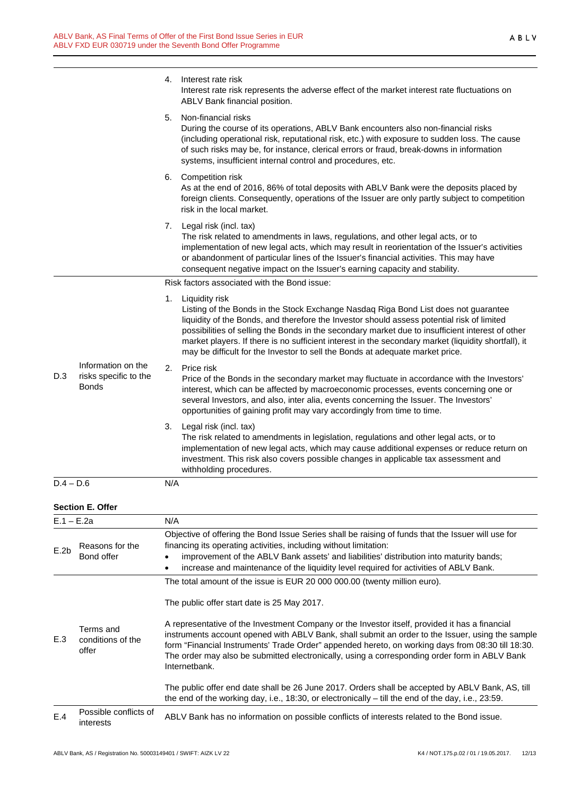|              |                                                             | 4.  | Interest rate risk<br>Interest rate risk represents the adverse effect of the market interest rate fluctuations on<br>ABLV Bank financial position.                                                                                                                                                                                                                                                                                                                                              |
|--------------|-------------------------------------------------------------|-----|--------------------------------------------------------------------------------------------------------------------------------------------------------------------------------------------------------------------------------------------------------------------------------------------------------------------------------------------------------------------------------------------------------------------------------------------------------------------------------------------------|
|              |                                                             | 5.  | Non-financial risks<br>During the course of its operations, ABLV Bank encounters also non-financial risks<br>(including operational risk, reputational risk, etc.) with exposure to sudden loss. The cause<br>of such risks may be, for instance, clerical errors or fraud, break-downs in information<br>systems, insufficient internal control and procedures, etc.                                                                                                                            |
|              |                                                             | 6.  | Competition risk<br>As at the end of 2016, 86% of total deposits with ABLV Bank were the deposits placed by<br>foreign clients. Consequently, operations of the Issuer are only partly subject to competition<br>risk in the local market.                                                                                                                                                                                                                                                       |
|              |                                                             | 7.  | Legal risk (incl. tax)<br>The risk related to amendments in laws, regulations, and other legal acts, or to<br>implementation of new legal acts, which may result in reorientation of the Issuer's activities<br>or abandonment of particular lines of the Issuer's financial activities. This may have<br>consequent negative impact on the Issuer's earning capacity and stability.                                                                                                             |
|              |                                                             |     | Risk factors associated with the Bond issue:                                                                                                                                                                                                                                                                                                                                                                                                                                                     |
|              |                                                             | 1.  | Liquidity risk<br>Listing of the Bonds in the Stock Exchange Nasdaq Riga Bond List does not guarantee<br>liquidity of the Bonds, and therefore the Investor should assess potential risk of limited<br>possibilities of selling the Bonds in the secondary market due to insufficient interest of other<br>market players. If there is no sufficient interest in the secondary market (liquidity shortfall), it<br>may be difficult for the Investor to sell the Bonds at adequate market price. |
| D.3          | Information on the<br>risks specific to the<br><b>Bonds</b> | 2.  | Price risk<br>Price of the Bonds in the secondary market may fluctuate in accordance with the Investors'<br>interest, which can be affected by macroeconomic processes, events concerning one or<br>several Investors, and also, inter alia, events concerning the Issuer. The Investors'<br>opportunities of gaining profit may vary accordingly from time to time.                                                                                                                             |
|              |                                                             | 3.  | Legal risk (incl. tax)<br>The risk related to amendments in legislation, regulations and other legal acts, or to<br>implementation of new legal acts, which may cause additional expenses or reduce return on<br>investment. This risk also covers possible changes in applicable tax assessment and<br>withholding procedures.                                                                                                                                                                  |
| $D.4 - D.6$  |                                                             | N/A |                                                                                                                                                                                                                                                                                                                                                                                                                                                                                                  |
|              | <b>Section E. Offer</b>                                     |     |                                                                                                                                                                                                                                                                                                                                                                                                                                                                                                  |
| $E.1 - E.2a$ |                                                             | N/A |                                                                                                                                                                                                                                                                                                                                                                                                                                                                                                  |
| E.2b         | Reasons for the<br>Bond offer                               |     | Objective of offering the Bond Issue Series shall be raising of funds that the Issuer will use for<br>financing its operating activities, including without limitation:<br>improvement of the ABLV Bank assets' and liabilities' distribution into maturity bands;<br>increase and maintenance of the liquidity level required for activities of ABLV Bank.                                                                                                                                      |

The total amount of the issue is EUR 20 000 000.00 (twenty million euro).

The public offer start date is 25 May 2017.

E.3 Terms and conditions of the offer A representative of the Investment Company or the Investor itself, provided it has a financial instruments account opened with ABLV Bank, shall submit an order to the Issuer, using the sample form "Financial Instruments' Trade Order" appended hereto, on working days from 08:30 till 18:30. The order may also be submitted electronically, using a corresponding order form in ABLV Bank Internetbank. The public offer end date shall be 26 June 2017. Orders shall be accepted by ABLV Bank, AS, till the end of the working day, i.e., 18:30, or electronically – till the end of the day, i.e., 23:59. ABLV Bank has no information on possible conflicts of interests related to the Bond issue.

E.4 Possible conflicts of<br>interests